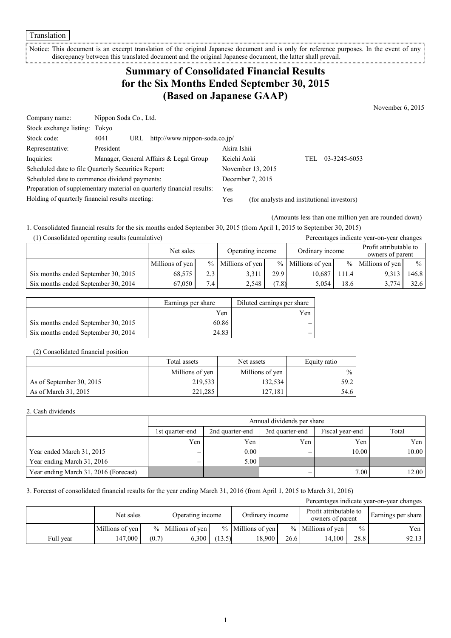Translation

Notice: This document is an excerpt translation of the original Japanese document and is only for reference purposes. In the event of any discrepancy between this translated document and the original Japanese document, the latter shall prevail. \_ \_ \_ \_ \_ \_ \_ \_ \_ \_ \_

## **Summary of Consolidated Financial Results for the Six Months Ended September 30, 2015 (Based on Japanese GAAP)**

November 6, 2015

| Company name:                                   | Nippon Soda Co., Ltd.                                                 |                   |                                            |
|-------------------------------------------------|-----------------------------------------------------------------------|-------------------|--------------------------------------------|
| Stock exchange listing: Tokyo                   |                                                                       |                   |                                            |
| Stock code:                                     | http://www.nippon-soda.co.jp/<br>4041<br>URL                          |                   |                                            |
| Representative:                                 | President                                                             | Akira Ishii       |                                            |
| Inquiries:                                      | Manager, General Affairs & Legal Group                                | Keichi Aoki       | 03-3245-6053<br>TEL.                       |
|                                                 | Scheduled date to file Quarterly Securities Report:                   | November 13, 2015 |                                            |
|                                                 | Scheduled date to commence dividend payments:                         | December 7, 2015  |                                            |
|                                                 | Preparation of supplementary material on quarterly financial results: | Yes               |                                            |
| Holding of quarterly financial results meeting: |                                                                       | Yes               | (for analysts and institutional investors) |

(Amounts less than one million yen are rounded down)

1. Consolidated financial results for the six months ended September 30, 2015 (from April 1, 2015 to September 30, 2015) (1) Consolidated operating results (cumulative) Percentages indicate year-on-year changes

| $(1)$ consolidated operating results (cumulately) |                 |      |                      |       |                     |               | I creeninged marcule year on year enanged  |               |
|---------------------------------------------------|-----------------|------|----------------------|-------|---------------------|---------------|--------------------------------------------|---------------|
|                                                   | Net sales       |      | Operating income     |       | Ordinary income     |               | Profit attributable to<br>owners of parent |               |
|                                                   | Millions of yen |      | $\%$ Millions of yen |       | $%$ Millions of yen | $\frac{9}{6}$ | Millions of yen                            | $\frac{0}{0}$ |
| Six months ended September 30, 2015               | 68.575          | 2.3  | 3,311                | 29.9  | 10.687              | 11.4          | 9,313                                      | 146.8         |
| Six months ended September 30, 2014               | 67.050          | 7.4. | 2.548                | (7.8) | 5.054               | 18.6          | 3,774                                      | 32.6          |

|                                     | Earnings per share | Diluted earnings per share |
|-------------------------------------|--------------------|----------------------------|
|                                     | Yen                | Yen                        |
| Six months ended September 30, 2015 | 60.86              |                            |
| Six months ended September 30, 2014 | 24.83              |                            |

#### (2) Consolidated financial position

|                          | Total assets    | Net assets      |               |
|--------------------------|-----------------|-----------------|---------------|
|                          | Millions of yen | Millions of yen | $\frac{0}{0}$ |
| As of September 30, 2015 | 219,533         | 132,534         | 59.2          |
| As of March 31, 2015     | 221,285         | 127,181         | 54.6          |

#### 2. Cash dividends

|                                       | Annual dividends per share |                                                                |     |       |       |  |  |  |
|---------------------------------------|----------------------------|----------------------------------------------------------------|-----|-------|-------|--|--|--|
|                                       | 1st quarter-end            | Total<br>Fiscal year-end<br>2nd quarter-end<br>3rd quarter-end |     |       |       |  |  |  |
|                                       | Yen                        | Yen                                                            | Yen | Yen   | Yen   |  |  |  |
| Year ended March 31, 2015             |                            | 0.00                                                           | -   | 10.00 | 10.00 |  |  |  |
| Year ending March 31, 2016            | $\overline{\phantom{a}}$   | 5.00                                                           |     |       |       |  |  |  |
| Year ending March 31, 2016 (Forecast) |                            |                                                                |     | 7.00  | 12.00 |  |  |  |

### 3. Forecast of consolidated financial results for the year ending March 31, 2016 (from April 1, 2015 to March 31, 2016)

| Percentages indicate year-on-year changes |                 |       |                                     |        |                     |      |                                            |               |                    |
|-------------------------------------------|-----------------|-------|-------------------------------------|--------|---------------------|------|--------------------------------------------|---------------|--------------------|
|                                           | Net sales       |       | Ordinary income<br>Operating income |        |                     |      | Profit attributable to<br>owners of parent |               | Earnings per share |
|                                           | Millions of yen |       | $%$ Millions of yen                 |        | $%$ Millions of yen |      | $%$ Millions of yen                        | $\frac{0}{0}$ | Yen                |
| Full year                                 | 147.000         | (0.7) | 6.300                               | (13.5) | 18.900              | 26.6 | 14.100                                     | 28.8          | 92.13              |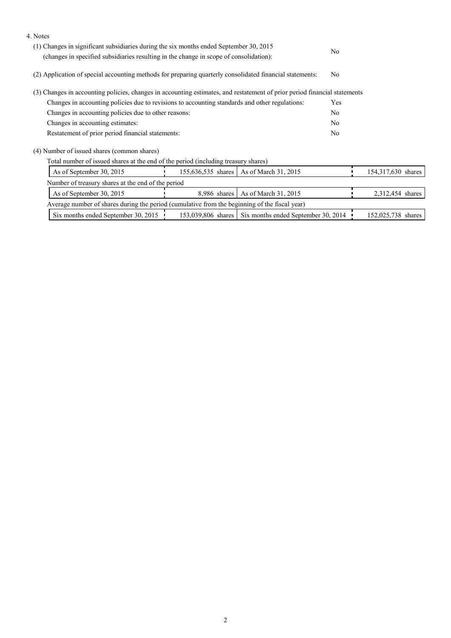| 4. Notes                                                                                                                  |              |                                                        |    |                    |
|---------------------------------------------------------------------------------------------------------------------------|--------------|--------------------------------------------------------|----|--------------------|
| (1) Changes in significant subsidiaries during the six months ended September 30, 2015                                    | No           |                                                        |    |                    |
| (changes in specified subsidiaries resulting in the change in scope of consolidation):                                    |              |                                                        |    |                    |
| (2) Application of special accounting methods for preparing quarterly consolidated financial statements:                  |              |                                                        | No |                    |
| (3) Changes in accounting policies, changes in accounting estimates, and restatement of prior period financial statements |              |                                                        |    |                    |
| Changes in accounting policies due to revisions to accounting standards and other regulations:                            |              |                                                        |    |                    |
| Changes in accounting policies due to other reasons:                                                                      |              |                                                        |    |                    |
| Changes in accounting estimates:                                                                                          |              |                                                        |    |                    |
| Restatement of prior period financial statements:                                                                         |              |                                                        |    |                    |
| (4) Number of issued shares (common shares)                                                                               |              |                                                        |    |                    |
| Total number of issued shares at the end of the period (including treasury shares)                                        |              |                                                        |    |                    |
| As of September 30, 2015                                                                                                  |              | 155,636,535 shares   As of March 31, 2015              |    | 154,317,630 shares |
| Number of treasury shares at the end of the period                                                                        |              |                                                        |    |                    |
| As of September 30, 2015                                                                                                  | 8,986 shares | As of March 31, 2015                                   |    | 2,312,454 shares   |
| Average number of shares during the period (cumulative from the beginning of the fiscal year)                             |              |                                                        |    |                    |
| Six months ended September 30, 2015                                                                                       |              | 153,039,806 shares Six months ended September 30, 2014 |    | 152,025,738 shares |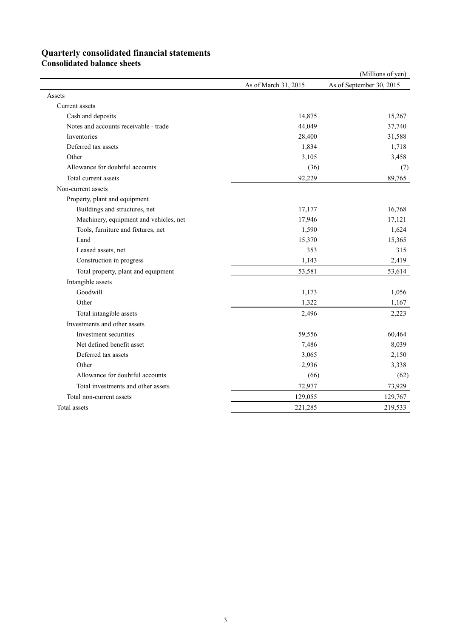# **Quarterly consolidated financial statements**

**Consolidated balance sheets** 

|                                        |                      | (Millions of yen)        |
|----------------------------------------|----------------------|--------------------------|
|                                        | As of March 31, 2015 | As of September 30, 2015 |
| Assets                                 |                      |                          |
| Current assets                         |                      |                          |
| Cash and deposits                      | 14,875               | 15,267                   |
| Notes and accounts receivable - trade  | 44,049               | 37,740                   |
| Inventories                            | 28,400               | 31,588                   |
| Deferred tax assets                    | 1,834                | 1,718                    |
| Other                                  | 3,105                | 3,458                    |
| Allowance for doubtful accounts        | (36)                 | (7)                      |
| Total current assets                   | 92,229               | 89,765                   |
| Non-current assets                     |                      |                          |
| Property, plant and equipment          |                      |                          |
| Buildings and structures, net          | 17,177               | 16,768                   |
| Machinery, equipment and vehicles, net | 17,946               | 17,121                   |
| Tools, furniture and fixtures, net     | 1,590                | 1,624                    |
| Land                                   | 15,370               | 15,365                   |
| Leased assets, net                     | 353                  | 315                      |
| Construction in progress               | 1,143                | 2,419                    |
| Total property, plant and equipment    | 53,581               | 53,614                   |
| Intangible assets                      |                      |                          |
| Goodwill                               | 1,173                | 1,056                    |
| Other                                  | 1,322                | 1,167                    |
| Total intangible assets                | 2,496                | 2,223                    |
| Investments and other assets           |                      |                          |
| Investment securities                  | 59,556               | 60,464                   |
| Net defined benefit asset              | 7,486                | 8,039                    |
| Deferred tax assets                    | 3,065                | 2,150                    |
| Other                                  | 2,936                | 3,338                    |
| Allowance for doubtful accounts        | (66)                 | (62)                     |
| Total investments and other assets     | 72,977               | 73,929                   |
| Total non-current assets               | 129,055              | 129,767                  |
| Total assets                           | 221,285              | 219,533                  |
|                                        |                      |                          |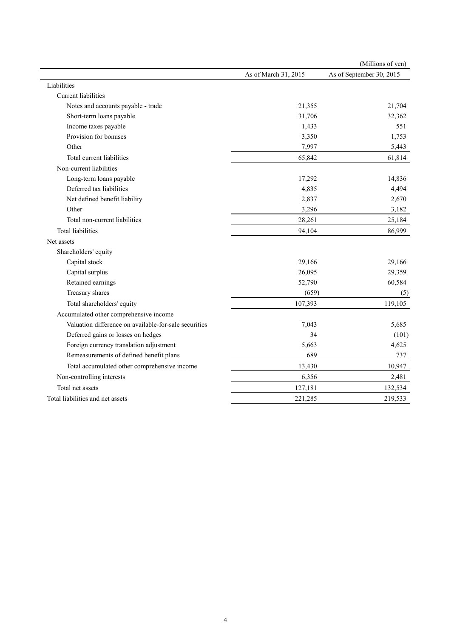|                                                       |                      | (Millions of yen)        |
|-------------------------------------------------------|----------------------|--------------------------|
|                                                       | As of March 31, 2015 | As of September 30, 2015 |
| Liabilities                                           |                      |                          |
| Current liabilities                                   |                      |                          |
| Notes and accounts payable - trade                    | 21,355               | 21,704                   |
| Short-term loans payable                              | 31,706               | 32,362                   |
| Income taxes payable                                  | 1,433                | 551                      |
| Provision for bonuses                                 | 3,350                | 1,753                    |
| Other                                                 | 7,997                | 5,443                    |
| Total current liabilities                             | 65,842               | 61,814                   |
| Non-current liabilities                               |                      |                          |
| Long-term loans payable                               | 17,292               | 14,836                   |
| Deferred tax liabilities                              | 4,835                | 4,494                    |
| Net defined benefit liability                         | 2,837                | 2,670                    |
| Other                                                 | 3,296                | 3,182                    |
| Total non-current liabilities                         | 28,261               | 25,184                   |
| <b>Total liabilities</b>                              | 94,104               | 86,999                   |
| Net assets                                            |                      |                          |
| Shareholders' equity                                  |                      |                          |
| Capital stock                                         | 29,166               | 29,166                   |
| Capital surplus                                       | 26,095               | 29,359                   |
| Retained earnings                                     | 52,790               | 60,584                   |
| Treasury shares                                       | (659)                | (5)                      |
| Total shareholders' equity                            | 107,393              | 119,105                  |
| Accumulated other comprehensive income                |                      |                          |
| Valuation difference on available-for-sale securities | 7,043                | 5,685                    |
| Deferred gains or losses on hedges                    | 34                   | (101)                    |
| Foreign currency translation adjustment               | 5,663                | 4,625                    |
| Remeasurements of defined benefit plans               | 689                  | 737                      |
| Total accumulated other comprehensive income          | 13,430               | 10,947                   |
| Non-controlling interests                             | 6,356                | 2,481                    |
| Total net assets                                      | 127,181              | 132,534                  |
| Total liabilities and net assets                      | 221,285              | 219,533                  |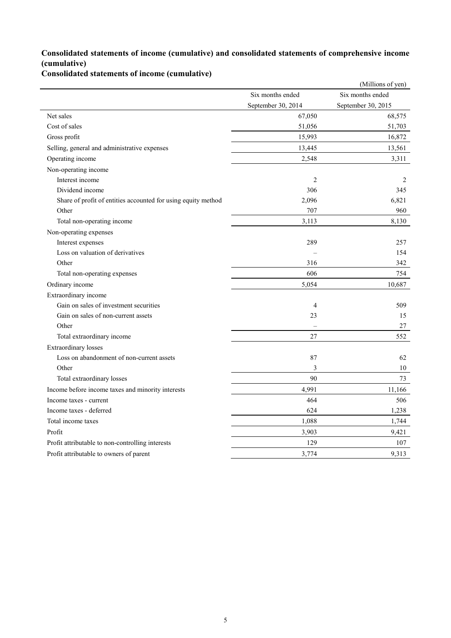### **Consolidated statements of income (cumulative) and consolidated statements of comprehensive income (cumulative)**

**Consolidated statements of income (cumulative)**

|                                                               |                          | (Millions of yen)  |
|---------------------------------------------------------------|--------------------------|--------------------|
|                                                               | Six months ended         | Six months ended   |
|                                                               | September 30, 2014       | September 30, 2015 |
| Net sales                                                     | 67,050                   | 68,575             |
| Cost of sales                                                 | 51,056                   | 51,703             |
| Gross profit                                                  | 15,993                   | 16,872             |
| Selling, general and administrative expenses                  | 13,445                   | 13,561             |
| Operating income                                              | 2,548                    | 3,311              |
| Non-operating income                                          |                          |                    |
| Interest income                                               | $\overline{c}$           | 2                  |
| Dividend income                                               | 306                      | 345                |
| Share of profit of entities accounted for using equity method | 2,096                    | 6,821              |
| Other                                                         | 707                      | 960                |
| Total non-operating income                                    | 3,113                    | 8,130              |
| Non-operating expenses                                        |                          |                    |
| Interest expenses                                             | 289                      | 257                |
| Loss on valuation of derivatives                              |                          | 154                |
| Other                                                         | 316                      | 342                |
| Total non-operating expenses                                  | 606                      | 754                |
| Ordinary income                                               | 5,054                    | 10,687             |
| Extraordinary income                                          |                          |                    |
| Gain on sales of investment securities                        | 4                        | 509                |
| Gain on sales of non-current assets                           | 23                       | 15                 |
| Other                                                         | $\overline{\phantom{a}}$ | 27                 |
| Total extraordinary income                                    | 27                       | 552                |
| Extraordinary losses                                          |                          |                    |
| Loss on abandonment of non-current assets                     | 87                       | 62                 |
| Other                                                         | 3                        | 10                 |
| Total extraordinary losses                                    | 90                       | 73                 |
| Income before income taxes and minority interests             | 4,991                    | 11,166             |
| Income taxes - current                                        | 464                      | 506                |
| Income taxes - deferred                                       | 624                      | 1,238              |
| Total income taxes                                            | 1,088                    | 1,744              |
| Profit                                                        | 3,903                    | 9,421              |
| Profit attributable to non-controlling interests              | 129                      | 107                |
| Profit attributable to owners of parent                       | 3,774                    | 9,313              |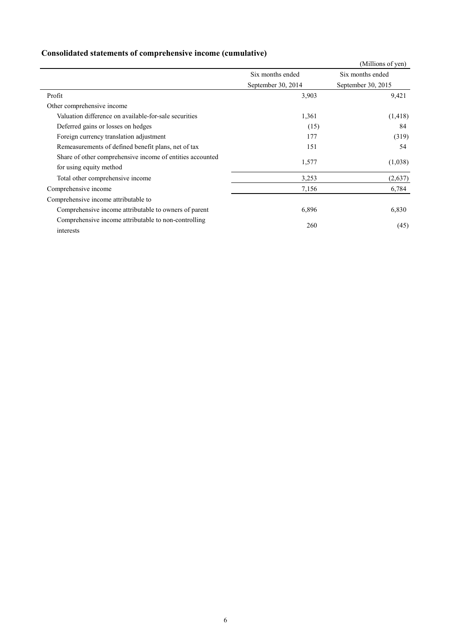| Consolidated statements of comprehensive income (cumulative) |  |  |  |
|--------------------------------------------------------------|--|--|--|
|                                                              |  |  |  |

|                                                                   |                    | (Millions of yen)  |
|-------------------------------------------------------------------|--------------------|--------------------|
|                                                                   | Six months ended   | Six months ended   |
|                                                                   | September 30, 2014 | September 30, 2015 |
| Profit                                                            | 3,903              | 9,421              |
| Other comprehensive income                                        |                    |                    |
| Valuation difference on available-for-sale securities             | 1,361              | (1, 418)           |
| Deferred gains or losses on hedges                                | (15)               | 84                 |
| Foreign currency translation adjustment                           | 177                | (319)              |
| Remeasurements of defined benefit plans, net of tax               | 151                | 54                 |
| Share of other comprehensive income of entities accounted         | 1,577              |                    |
| for using equity method                                           |                    | (1,038)            |
| Total other comprehensive income                                  | 3,253              | (2,637)            |
| Comprehensive income                                              | 7,156              | 6,784              |
| Comprehensive income attributable to                              |                    |                    |
| Comprehensive income attributable to owners of parent             | 6,896              | 6,830              |
| Comprehensive income attributable to non-controlling<br>interests | 260                | (45)               |